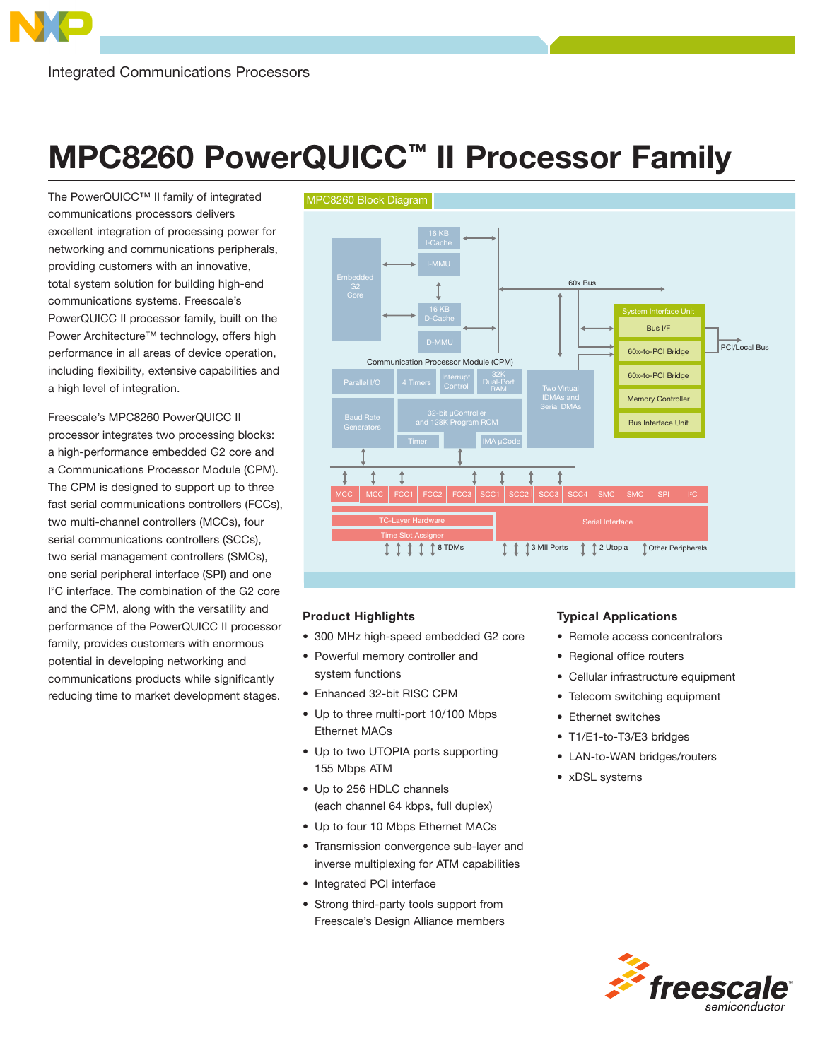## MPC8260 PowerQUICC™ II Processor Family

The PowerQUICC™ II family of integrated communications processors delivers excellent integration of processing power for networking and communications peripherals, providing customers with an innovative, total system solution for building high-end communications systems. Freescale's PowerQUICC II processor family, built on the Power Architecture™ technology, offers high performance in all areas of device operation, including flexibility, extensive capabilities and a high level of integration.

Freescale's MPC8260 PowerQUICC II processor integrates two processing blocks: a high-performance embedded G2 core and a Communications Processor Module (CPM). The CPM is designed to support up to three fast serial communications controllers (FCCs), two multi-channel controllers (MCCs), four serial communications controllers (SCCs), two serial management controllers (SMCs), one serial peripheral interface (SPI) and one I <sup>2</sup>C interface. The combination of the G2 core and the CPM, along with the versatility and performance of the PowerQUICC II processor family, provides customers with enormous potential in developing networking and communications products while significantly reducing time to market development stages.



## Product Highlights

- 300 MHz high-speed embedded G2 core
- Powerful memory controller and system functions
- Enhanced 32-bit RISC CPM
- Up to three multi-port 10/100 Mbps Ethernet MACs
- Up to two UTOPIA ports supporting 155 Mbps ATM
- Up to 256 HDLC channels (each channel 64 kbps, full duplex)
- Up to four 10 Mbps Ethernet MACs
- Transmission convergence sub-layer and inverse multiplexing for ATM capabilities
- Integrated PCI interface
- Strong third-party tools support from Freescale's Design Alliance members

## Typical Applications

- Remote access concentrators
- Regional office routers
- Cellular infrastructure equipment
- Telecom switching equipment
- Ethernet switches
- T1/E1-to-T3/E3 bridges
- LAN-to-WAN bridges/routers
- xDSL systems